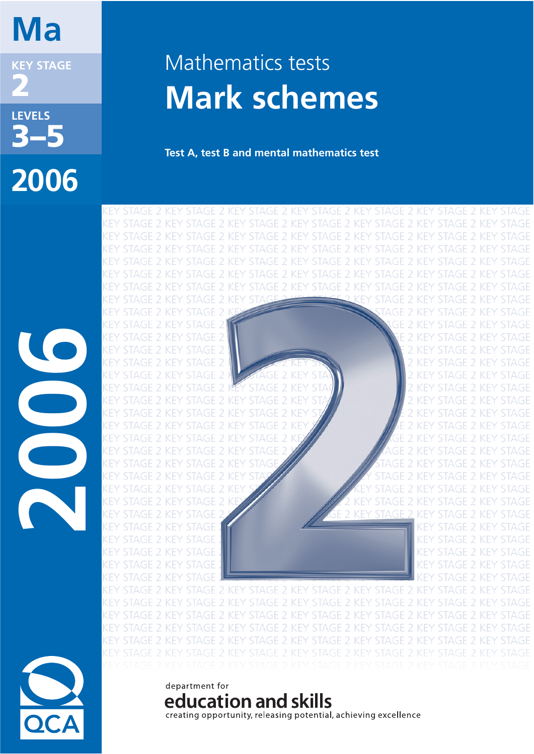# **Ma**

**KEY STAGE 2**

**LEVELS 3–5 2006**

# Mathematics tests **Mark schemes**

**Test A, test B and mental mathematics test**

STAGE 2 KEY STAGE 2 KEY STAGE 2 KEY STAGE 2 KEY 2 KFY STAGE 2 KEY 2 KEY STAGE 2 KEY STAGE 2 KEY STAGE 2 KEY STAGE 2 KEY STAGE 2 KEY 2 KFY 2 KFY 2 KFY  $\overline{\phantom{a}}$ **KFY**  $\mathcal{P}$ **KFY** 2 KEY STAGE  $\mathcal{P}$ STAGE<sub>2</sub> **STAGE 2 STAGE 2 KEY** KEN KFY **STAGE 2 KEY** STAGE 2 KFY STAGE KFY KFY **STAGE 2 KEY** KFY STAGE **STAGE 2 KEY** KEY 2 KEY y stage STAGE 2 KEY **STAGE 2 KEY STAGE** KFY KFY **STAGE 2 KEY KEY** KFY 2 KFY STAGE 2 KEY **STAGE 2 KEY** 2 KFY STAGE **STAGE 2 KEY** KFY KEY STAGE 2 KEY KFY STAGE 2 KFY STAGE 2 KEY 2 KEY STAGE 2 STAGE 2 KEY KEY key STAGE 2 KEY KEY KEY **STAGE** STAGE 2 KEY KFY **STAGE 2 KEY STAGE 2 KEY STAGE** KEY



**2006**

## department for education and skills

creating opportunity, releasing potential, achieving excellence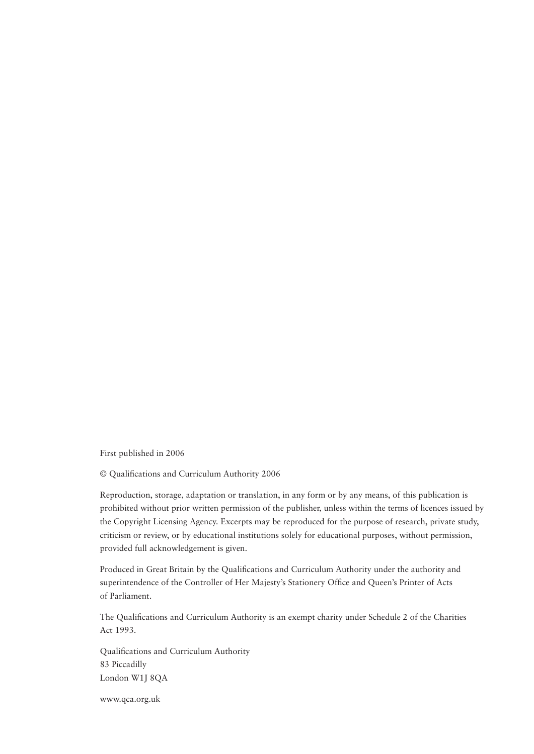First published in 2006

© Qualifications and Curriculum Authority 2006

Reproduction, storage, adaptation or translation, in any form or by any means, of this publication is prohibited without prior written permission of the publisher, unless within the terms of licences issued by the Copyright Licensing Agency. Excerpts may be reproduced for the purpose of research, private study, criticism or review, or by educational institutions solely for educational purposes, without permission, provided full acknowledgement is given.

Produced in Great Britain by the Qualifications and Curriculum Authority under the authority and superintendence of the Controller of Her Majesty's Stationery Office and Queen's Printer of Acts of Parliament.

The Qualifications and Curriculum Authority is an exempt charity under Schedule 2 of the Charities Act 1993.

Qualifications and Curriculum Authority 83 Piccadilly London W1J 8QA

www.qca.org.uk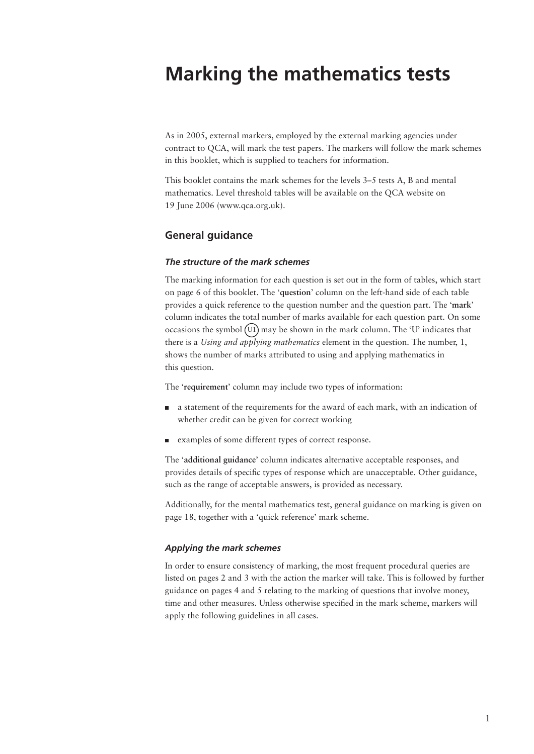## **Marking the mathematics tests**

As in 2005, external markers, employed by the external marking agencies under contract to QCA, will mark the test papers. The markers will follow the mark schemes in this booklet, which is supplied to teachers for information.

This booklet contains the mark schemes for the levels 3–5 tests A, B and mental mathematics. Level threshold tables will be available on the QCA website on 19 June 2006 (www.qca.org.uk).

#### **General guidance**

#### *The structure of the mark schemes*

The marking information for each question is set out in the form of tables, which start on page 6 of this booklet. The '**question**' column on the left-hand side of each table provides a quick reference to the question number and the question part. The '**mark**' column indicates the total number of marks available for each question part. On some occasions the symbol  $(U1)$  may be shown in the mark column. The 'U' indicates that there is a *Using and applying mathematics* element in the question. The number, 1, shows the number of marks attributed to using and applying mathematics in this question.

The '**requirement**' column may include two types of information:

- a statement of the requirements for the award of each mark, with an indication of whether credit can be given for correct working
- examples of some different types of correct response.

The '**additional guidance**' column indicates alternative acceptable responses, and provides details of specifi c types of response which are unacceptable. Other guidance, such as the range of acceptable answers, is provided as necessary.

Additionally, for the mental mathematics test, general guidance on marking is given on page 18, together with a 'quick reference' mark scheme.

#### *Applying the mark schemes*

In order to ensure consistency of marking, the most frequent procedural queries are listed on pages 2 and 3 with the action the marker will take. This is followed by further guidance on pages 4 and 5 relating to the marking of questions that involve money, time and other measures. Unless otherwise specified in the mark scheme, markers will apply the following guidelines in all cases.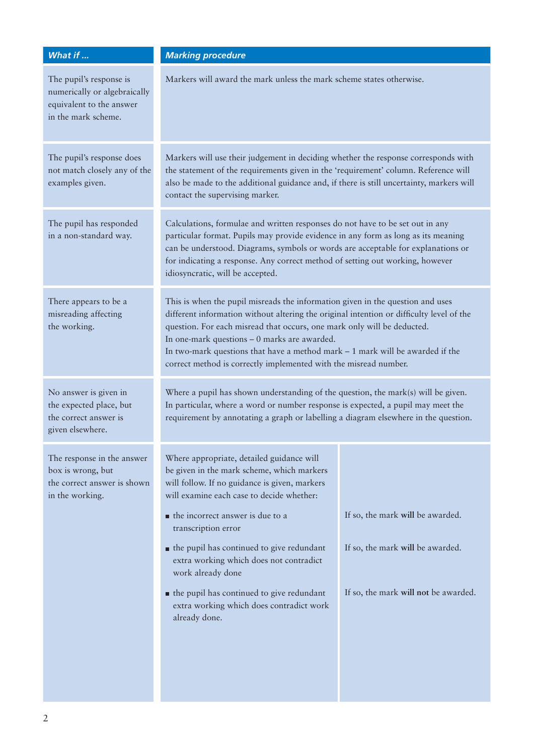| What if $\ldots$                                                                                           | <b>Marking procedure</b>                                                                                                                                                                                                                                                                                                                                                                                                                                                    |                                                                                                              |  |
|------------------------------------------------------------------------------------------------------------|-----------------------------------------------------------------------------------------------------------------------------------------------------------------------------------------------------------------------------------------------------------------------------------------------------------------------------------------------------------------------------------------------------------------------------------------------------------------------------|--------------------------------------------------------------------------------------------------------------|--|
| The pupil's response is<br>numerically or algebraically<br>equivalent to the answer<br>in the mark scheme. | Markers will award the mark unless the mark scheme states otherwise.                                                                                                                                                                                                                                                                                                                                                                                                        |                                                                                                              |  |
| The pupil's response does<br>not match closely any of the<br>examples given.                               | Markers will use their judgement in deciding whether the response corresponds with<br>the statement of the requirements given in the 'requirement' column. Reference will<br>also be made to the additional guidance and, if there is still uncertainty, markers will<br>contact the supervising marker.                                                                                                                                                                    |                                                                                                              |  |
| The pupil has responded<br>in a non-standard way.                                                          | Calculations, formulae and written responses do not have to be set out in any<br>particular format. Pupils may provide evidence in any form as long as its meaning<br>can be understood. Diagrams, symbols or words are acceptable for explanations or<br>for indicating a response. Any correct method of setting out working, however<br>idiosyncratic, will be accepted.                                                                                                 |                                                                                                              |  |
| There appears to be a<br>misreading affecting<br>the working.                                              | This is when the pupil misreads the information given in the question and uses<br>different information without altering the original intention or difficulty level of the<br>question. For each misread that occurs, one mark only will be deducted.<br>In one-mark questions - 0 marks are awarded.<br>In two-mark questions that have a method mark $-1$ mark will be awarded if the<br>correct method is correctly implemented with the misread number.                 |                                                                                                              |  |
| No answer is given in<br>the expected place, but<br>the correct answer is<br>given elsewhere.              | Where a pupil has shown understanding of the question, the mark(s) will be given.<br>In particular, where a word or number response is expected, a pupil may meet the<br>requirement by annotating a graph or labelling a diagram elsewhere in the question.                                                                                                                                                                                                                |                                                                                                              |  |
| The response in the answer<br>box is wrong, but<br>the correct answer is shown<br>in the working.          | Where appropriate, detailed guidance will<br>be given in the mark scheme, which markers<br>will follow. If no guidance is given, markers<br>will examine each case to decide whether:<br>the incorrect answer is due to a<br>transcription error<br>• the pupil has continued to give redundant<br>extra working which does not contradict<br>work already done<br>• the pupil has continued to give redundant<br>extra working which does contradict work<br>already done. | If so, the mark will be awarded.<br>If so, the mark will be awarded.<br>If so, the mark will not be awarded. |  |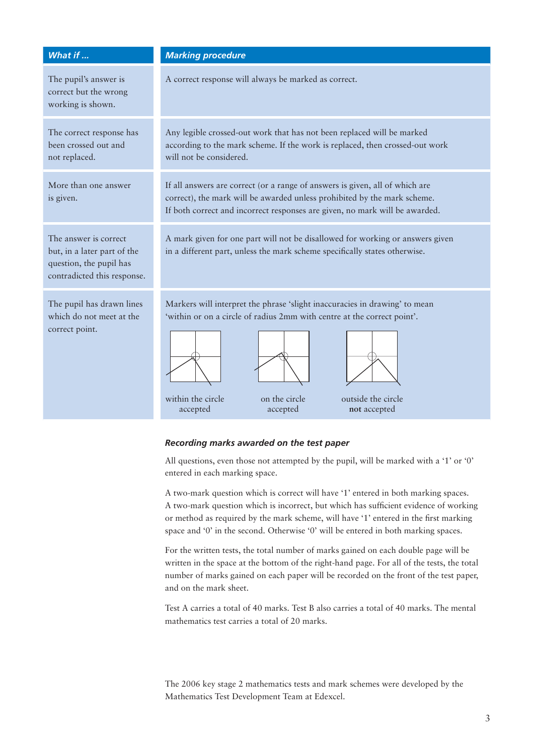| What if                                                                                                        | <b>Marking procedure</b>                                                                                                                                                                                                                                  |  |  |
|----------------------------------------------------------------------------------------------------------------|-----------------------------------------------------------------------------------------------------------------------------------------------------------------------------------------------------------------------------------------------------------|--|--|
| The pupil's answer is<br>correct but the wrong<br>working is shown.                                            | A correct response will always be marked as correct.                                                                                                                                                                                                      |  |  |
| The correct response has<br>been crossed out and<br>not replaced.                                              | Any legible crossed-out work that has not been replaced will be marked<br>according to the mark scheme. If the work is replaced, then crossed-out work<br>will not be considered.                                                                         |  |  |
| More than one answer<br>is given.                                                                              | If all answers are correct (or a range of answers is given, all of which are<br>correct), the mark will be awarded unless prohibited by the mark scheme.<br>If both correct and incorrect responses are given, no mark will be awarded.                   |  |  |
| The answer is correct<br>but, in a later part of the<br>question, the pupil has<br>contradicted this response. | A mark given for one part will not be disallowed for working or answers given<br>in a different part, unless the mark scheme specifically states otherwise.                                                                                               |  |  |
| The pupil has drawn lines<br>which do not meet at the<br>correct point.                                        | Markers will interpret the phrase 'slight inaccuracies in drawing' to mean<br>'within or on a circle of radius 2mm with centre at the correct point'.<br>outside the circle<br>within the circle<br>on the circle<br>accepted<br>accepted<br>not accepted |  |  |

#### *Recording marks awarded on the test paper*

All questions, even those not attempted by the pupil, will be marked with a '1' or '0' entered in each marking space.

A two-mark question which is correct will have '1' entered in both marking spaces. A two-mark question which is incorrect, but which has sufficient evidence of working or method as required by the mark scheme, will have '1' entered in the first marking space and '0' in the second. Otherwise '0' will be entered in both marking spaces.

For the written tests, the total number of marks gained on each double page will be written in the space at the bottom of the right-hand page. For all of the tests, the total number of marks gained on each paper will be recorded on the front of the test paper, and on the mark sheet.

Test A carries a total of 40 marks. Test B also carries a total of 40 marks. The mental mathematics test carries a total of 20 marks.

The 2006 key stage 2 mathematics tests and mark schemes were developed by the Mathematics Test Development Team at Edexcel.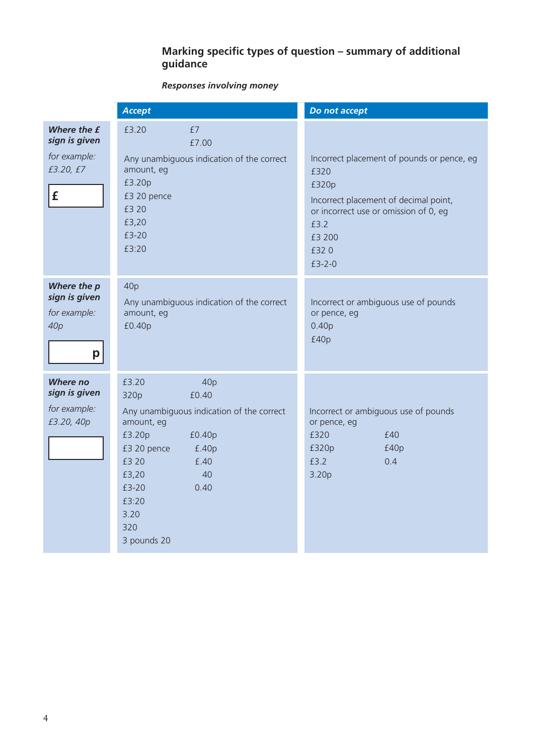#### **Marking specific types of question – summary of additional guidance**

## *Responses involving money*

|                                                                          | <b>Accept</b>                                                                                                                                                                                                                | Do not accept                                                                                                                                                                       |
|--------------------------------------------------------------------------|------------------------------------------------------------------------------------------------------------------------------------------------------------------------------------------------------------------------------|-------------------------------------------------------------------------------------------------------------------------------------------------------------------------------------|
| Where the £<br>sign is given<br>for example:<br>£3.20, £7<br>$\mathbf f$ | £3.20<br>£7<br>£7.00<br>Any unambiguous indication of the correct<br>amount, eg<br>£3.20p<br>£3 20 pence<br>£3 20<br>£3,20<br>£3-20<br>£3:20                                                                                 | Incorrect placement of pounds or pence, eg<br>£320<br>£320p<br>Incorrect placement of decimal point,<br>or incorrect use or omission of 0, eg<br>£3.2<br>£3 200<br>£320<br>$£3-2-0$ |
| Where the p<br>sign is given<br>for example:<br>40 <sub>p</sub><br>p     | 40p<br>Any unambiguous indication of the correct<br>amount, eg<br>£0.40p                                                                                                                                                     | Incorrect or ambiguous use of pounds<br>or pence, eg<br>0.40p<br>£40p                                                                                                               |
| <b>Where</b> no<br>sign is given<br>for example:<br>£3.20, 40p           | £3.20<br>40p<br>£0.40<br>320p<br>Any unambiguous indication of the correct<br>amount, eg<br>£3.20p<br>£0.40p<br>£3 20 pence<br>£.40p<br>£3 20<br>£.40<br>£3,20<br>40<br>£3-20<br>0.40<br>£3:20<br>3.20<br>320<br>3 pounds 20 | Incorrect or ambiguous use of pounds<br>or pence, eg<br>£320<br>£40<br>£320p<br>£40p<br>£3.2<br>0.4<br>3.20p                                                                        |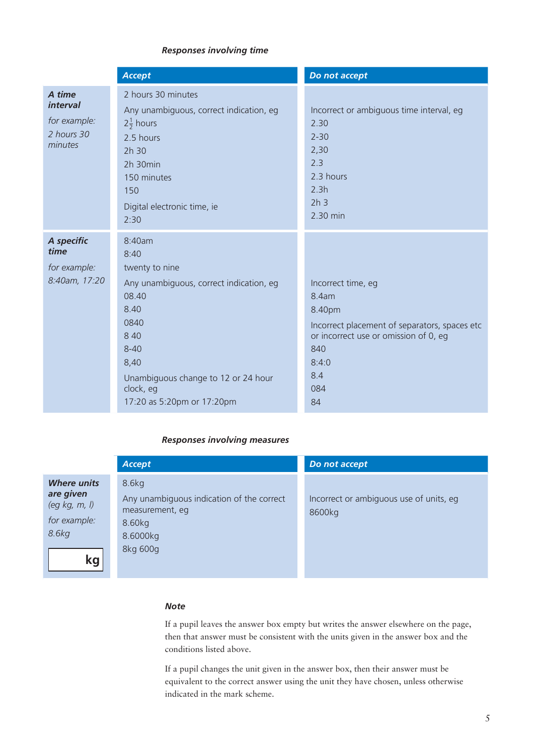#### *Responses involving time*

|                                                                    | <b>Accept</b>                                                                                                                                                                                                       | Do not accept                                                                                                                                                       |
|--------------------------------------------------------------------|---------------------------------------------------------------------------------------------------------------------------------------------------------------------------------------------------------------------|---------------------------------------------------------------------------------------------------------------------------------------------------------------------|
| A time<br><i>interval</i><br>for example:<br>2 hours 30<br>minutes | 2 hours 30 minutes<br>Any unambiguous, correct indication, eg<br>$2\frac{1}{2}$ hours<br>2.5 hours<br>2h 30<br>2h 30min<br>150 minutes<br>150<br>Digital electronic time, ie<br>2:30                                | Incorrect or ambiguous time interval, eg<br>2.30<br>$2 - 30$<br>2,30<br>2.3<br>2.3 hours<br>2.3h<br>2h <sub>3</sub><br>2.30 min                                     |
| A specific<br>time<br>for example:<br>8:40am, 17:20                | 8:40am<br>8:40<br>twenty to nine<br>Any unambiguous, correct indication, eg<br>08.40<br>8.40<br>0840<br>8 4 0<br>$8 - 40$<br>8,40<br>Unambiguous change to 12 or 24 hour<br>clock, eg<br>17:20 as 5:20pm or 17:20pm | Incorrect time, eg<br>8.4am<br>8.40pm<br>Incorrect placement of separators, spaces etc<br>or incorrect use or omission of 0, eg<br>840<br>8:4:0<br>8.4<br>084<br>84 |

#### *Responses involving measures*

|                                                                                           | <b>Accept</b>                                                                                           | Do not accept                                     |
|-------------------------------------------------------------------------------------------|---------------------------------------------------------------------------------------------------------|---------------------------------------------------|
| <b>Where units</b><br>are given<br>(eg $kg, m, l$ )<br>for example:<br>8.6kg<br><b>kg</b> | 8.6kg<br>Any unambiguous indication of the correct<br>measurement, eg<br>8.60kg<br>8.6000kg<br>8kg 600g | Incorrect or ambiguous use of units, eg<br>8600kg |

#### *Note*

If a pupil leaves the answer box empty but writes the answer elsewhere on the page, then that answer must be consistent with the units given in the answer box and the conditions listed above.

If a pupil changes the unit given in the answer box, then their answer must be equivalent to the correct answer using the unit they have chosen, unless otherwise indicated in the mark scheme.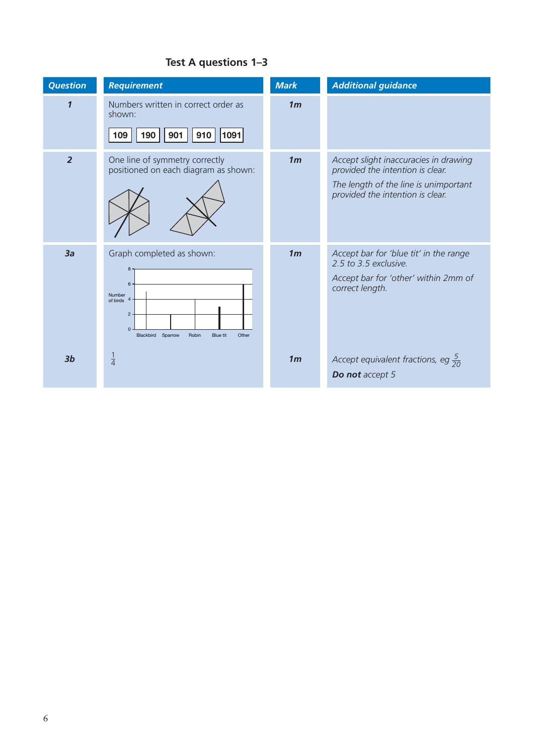## **Test A questions 1–3**

| <b>Question</b>     | <b>Requirement</b>                                                                                                                                       | <b>Mark</b>    | <b>Additional guidance</b>                                                                                                                             |
|---------------------|----------------------------------------------------------------------------------------------------------------------------------------------------------|----------------|--------------------------------------------------------------------------------------------------------------------------------------------------------|
| $\boldsymbol{\eta}$ | Numbers written in correct order as<br>shown:<br>1091<br>190<br>901<br>109<br>910                                                                        | 1 <sub>m</sub> |                                                                                                                                                        |
| $\overline{2}$      | One line of symmetry correctly<br>positioned on each diagram as shown:                                                                                   | 1 <sub>m</sub> | Accept slight inaccuracies in drawing<br>provided the intention is clear.<br>The length of the line is unimportant<br>provided the intention is clear. |
| 3a                  | Graph completed as shown:<br>8<br>6<br>Number<br>of birds $4$<br>$\overline{c}$<br>$\Omega$<br>Robin<br>Sparrow<br><b>Blue tit</b><br>Other<br>Blackbird | 1 <sub>m</sub> | Accept bar for 'blue tit' in the range<br>2.5 to 3.5 exclusive.<br>Accept bar for 'other' within 2mm of<br>correct length.                             |
| 3 <sub>b</sub>      | $\frac{1}{4}$                                                                                                                                            | 1 <sub>m</sub> | Accept equivalent fractions, eg $\frac{5}{20}$<br>Do not accept 5                                                                                      |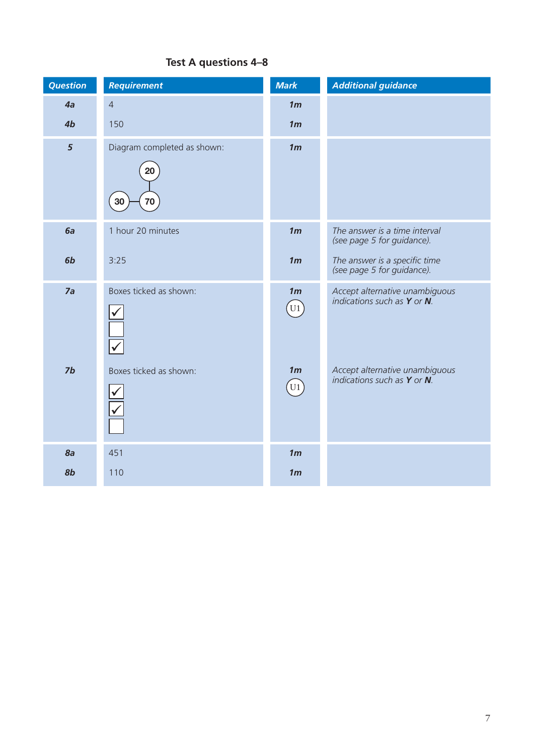## **Test A questions 4–8**

| <b>Question</b> | <b>Requirement</b>                            | <b>Mark</b>                                  | <b>Additional guidance</b>                                         |
|-----------------|-----------------------------------------------|----------------------------------------------|--------------------------------------------------------------------|
| 4a              | $\overline{4}$                                | 1 <sub>m</sub>                               |                                                                    |
| 4b              | 150                                           | 1 <sub>m</sub>                               |                                                                    |
| $5\phantom{a}$  | Diagram completed as shown:<br>20<br>70<br>30 | 1 <sub>m</sub>                               |                                                                    |
| 6a              | 1 hour 20 minutes                             | 1 <sub>m</sub>                               | The answer is a time interval<br>(see page 5 for guidance).        |
| 6b              | 3:25                                          | 1 <sub>m</sub>                               | The answer is a specific time<br>(see page 5 for guidance).        |
| 7a              | Boxes ticked as shown:                        | 1 <sub>m</sub><br>$\left[\mathrm{U1}\right]$ | Accept alternative unambiguous<br>indications such as $Y$ or $N$ . |
| 7b              | Boxes ticked as shown:                        | 1 <sub>m</sub><br>U1                         | Accept alternative unambiguous<br>indications such as $Y$ or $N$ . |
| 8a              | 451                                           | 1 <sub>m</sub>                               |                                                                    |
| 8b              | 110                                           | 1 <sub>m</sub>                               |                                                                    |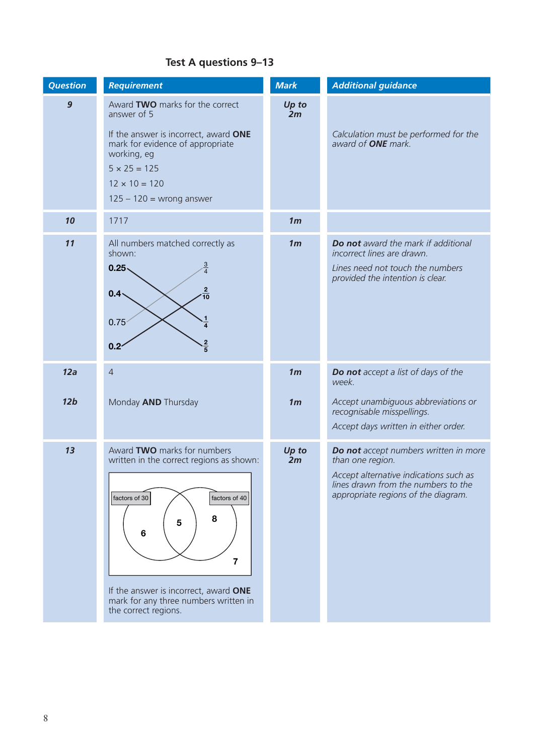## **Test A questions 9–13**

| <b>Question</b>  | <b>Requirement</b>                                                                                                                                                                                                                                     | <b>Mark</b>    | <b>Additional guidance</b>                                                                                                                                                        |
|------------------|--------------------------------------------------------------------------------------------------------------------------------------------------------------------------------------------------------------------------------------------------------|----------------|-----------------------------------------------------------------------------------------------------------------------------------------------------------------------------------|
| $\boldsymbol{9}$ | Award TWO marks for the correct<br>answer of 5<br>If the answer is incorrect, award ONE<br>mark for evidence of appropriate<br>working, eg<br>$5 \times 25 = 125$<br>$12 \times 10 = 120$<br>$125 - 120 =$ wrong answer                                | Up to<br>2m    | Calculation must be performed for the<br>award of <b>ONE</b> mark.                                                                                                                |
| 10               | 1717                                                                                                                                                                                                                                                   | 1 <sub>m</sub> |                                                                                                                                                                                   |
| 11               | All numbers matched correctly as<br>shown:<br>$0.25 -$<br>$0.4 -$<br>0.75 <sup>2</sup><br>0.2 <sup>2</sup>                                                                                                                                             | 1 <sub>m</sub> | Do not award the mark if additional<br>incorrect lines are drawn.<br>Lines need not touch the numbers<br>provided the intention is clear.                                         |
| 12a              | $\overline{4}$                                                                                                                                                                                                                                         | 1 <sub>m</sub> | Do not accept a list of days of the<br>week.                                                                                                                                      |
| 12 <sub>b</sub>  | Monday AND Thursday                                                                                                                                                                                                                                    | 1 <sub>m</sub> | Accept unambiguous abbreviations or<br>recognisable misspellings.<br>Accept days written in either order.                                                                         |
| 13               | Award TWO marks for numbers<br>written in the correct regions as shown:<br>factors of 30<br>factors of $40$<br>8<br>5<br>6<br>$\overline{7}$<br>If the answer is incorrect, award ONE<br>mark for any three numbers written in<br>the correct regions. | Up to<br>2m    | Do not accept numbers written in more<br>than one region.<br>Accept alternative indications such as<br>lines drawn from the numbers to the<br>appropriate regions of the diagram. |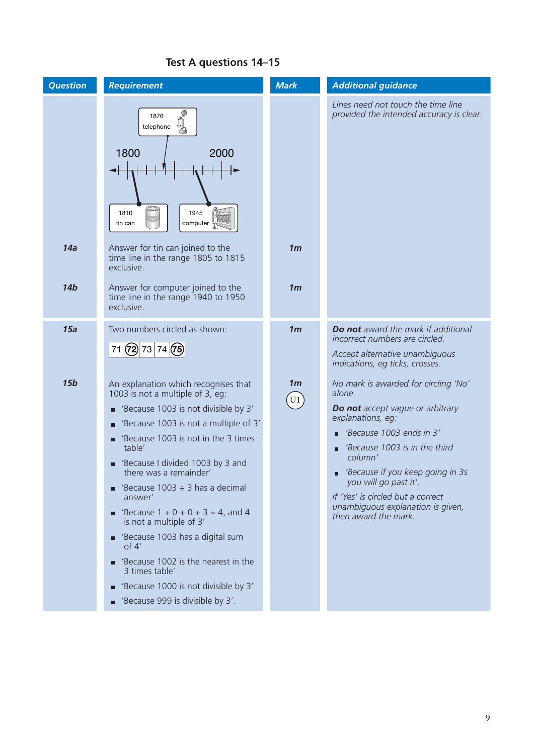| <b>Question</b> | <b>Requirement</b>                                                                                                                                                                                                                                                                                                                                                                                                                                                                                                                                                                             | <b>Mark</b>                                  | <b>Additional guidance</b>                                                                                                                                                                                                                                                                                                                            |
|-----------------|------------------------------------------------------------------------------------------------------------------------------------------------------------------------------------------------------------------------------------------------------------------------------------------------------------------------------------------------------------------------------------------------------------------------------------------------------------------------------------------------------------------------------------------------------------------------------------------------|----------------------------------------------|-------------------------------------------------------------------------------------------------------------------------------------------------------------------------------------------------------------------------------------------------------------------------------------------------------------------------------------------------------|
| 14a             | 1876<br>telephone<br>1800<br>2000<br>1810<br>1945<br>computer<br>tin can<br>Answer for tin can joined to the<br>time line in the range 1805 to 1815                                                                                                                                                                                                                                                                                                                                                                                                                                            | 1 <sub>m</sub>                               | Lines need not touch the time line<br>provided the intended accuracy is clear.                                                                                                                                                                                                                                                                        |
| 14 <sub>b</sub> | exclusive.<br>Answer for computer joined to the<br>time line in the range 1940 to 1950<br>exclusive.                                                                                                                                                                                                                                                                                                                                                                                                                                                                                           | 1 <sub>m</sub>                               |                                                                                                                                                                                                                                                                                                                                                       |
| 15a             | Two numbers circled as shown:<br>71(72)7374(75)                                                                                                                                                                                                                                                                                                                                                                                                                                                                                                                                                | 1 <sub>m</sub>                               | Do not award the mark if additional<br>incorrect numbers are circled.<br>Accept alternative unambiguous<br>indications, eg ticks, crosses.                                                                                                                                                                                                            |
| 15 <sub>b</sub> | An explanation which recognises that<br>1003 is not a multiple of 3, eg:<br>■ 'Because 1003 is not divisible by 3'<br>'Because 1003 is not a multiple of 3'<br>'Because 1003 is not in the 3 times<br>table'<br>'Because I divided 1003 by 3 and<br>there was a remainder'<br>'Because 1003 $\div$ 3 has a decimal<br>answer'<br><b>E</b> 'Because $1 + 0 + 0 + 3 = 4$ , and 4<br>is not a multiple of 3'<br>Because 1003 has a digital sum<br>of $4'$<br>Because 1002 is the nearest in the<br>3 times table'<br>■ 'Because 1000 is not divisible by 3'<br>■ 'Because 999 is divisible by 3'. | 1 <sub>m</sub><br>$\left(\mathrm{U1}\right)$ | No mark is awarded for circling 'No'<br>alone.<br><b>Do not</b> accept vague or arbitrary<br>explanations, eg:<br>'Because 1003 ends in 3'<br>'Because 1003 is in the third<br>column'<br>'Because if you keep going in 3s<br>you will go past it'.<br>If 'Yes' is circled but a correct<br>unambiguous explanation is given,<br>then award the mark. |

## **Test A questions 14–15**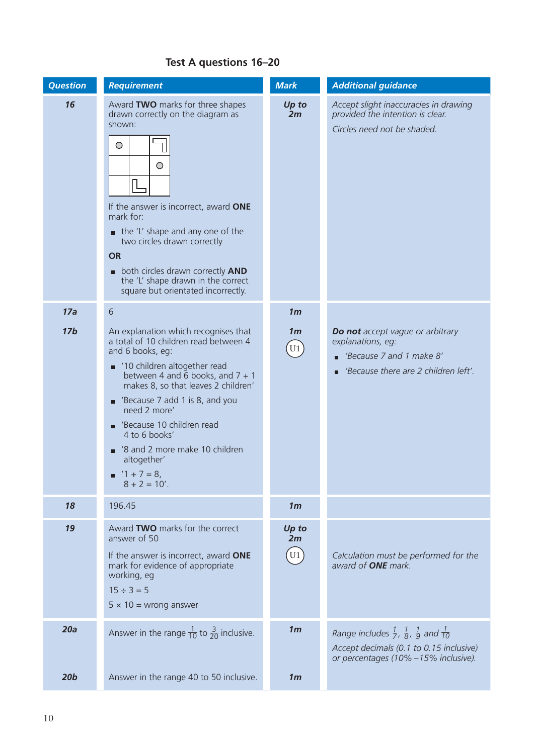## **Test A questions 16–20**

| <b>Question</b> | <b>Requirement</b>                                                                                                                                                                                                                                                                                                                                                                                 | <b>Mark</b>                    | <b>Additional guidance</b>                                                                                                                                          |
|-----------------|----------------------------------------------------------------------------------------------------------------------------------------------------------------------------------------------------------------------------------------------------------------------------------------------------------------------------------------------------------------------------------------------------|--------------------------------|---------------------------------------------------------------------------------------------------------------------------------------------------------------------|
| 16              | Award TWO marks for three shapes<br>drawn correctly on the diagram as<br>shown:<br>O<br>O<br>If the answer is incorrect, award ONE<br>mark for:<br>$\blacksquare$ the 'L' shape and any one of the<br>two circles drawn correctly<br><b>OR</b><br>both circles drawn correctly AND<br>the 'L' shape drawn in the correct<br>square but orientated incorrectly.                                     | Up to<br>2m                    | Accept slight inaccuracies in drawing<br>provided the intention is clear.<br>Circles need not be shaded.                                                            |
| 17a             | 6                                                                                                                                                                                                                                                                                                                                                                                                  | 1 <sub>m</sub>                 |                                                                                                                                                                     |
| 17 <sub>b</sub> | An explanation which recognises that<br>a total of 10 children read between 4<br>and 6 books, eg:<br>'10 children altogether read<br>between 4 and 6 books, and $7 + 1$<br>makes 8, so that leaves 2 children'<br>Because 7 add 1 is 8, and you<br>need 2 more'<br>'Because 10 children read<br>4 to 6 books'<br>'8 and 2 more make 10 children<br>altogether'<br>$1 + 7 = 8$ ,<br>$8 + 2 = 10'$ . | 1 <sub>m</sub><br>$\boxed{U1}$ | Do not accept vague or arbitrary<br>explanations, eg:<br>'Because 7 and 1 make 8'<br>'Because there are 2 children left'.                                           |
| 18              | 196.45                                                                                                                                                                                                                                                                                                                                                                                             | 1 <sub>m</sub>                 |                                                                                                                                                                     |
| 19              | Award TWO marks for the correct<br>answer of 50<br>If the answer is incorrect, award ONE<br>mark for evidence of appropriate<br>working, eg<br>$15 \div 3 = 5$<br>$5 \times 10 =$ wrong answer                                                                                                                                                                                                     | Up to<br>2m<br>U <sub>1</sub>  | Calculation must be performed for the<br>award of <b>ONE</b> mark.                                                                                                  |
| 20a             | Answer in the range $\frac{1}{10}$ to $\frac{3}{20}$ inclusive.                                                                                                                                                                                                                                                                                                                                    | 1 <sub>m</sub>                 | Range includes $\frac{1}{7}$ , $\frac{1}{8}$ , $\frac{1}{9}$ and $\frac{1}{10}$<br>Accept decimals (0.1 to 0.15 inclusive)<br>or percentages (10% - 15% inclusive). |
| 20 <sub>b</sub> | Answer in the range 40 to 50 inclusive.                                                                                                                                                                                                                                                                                                                                                            | 1 <sub>m</sub>                 |                                                                                                                                                                     |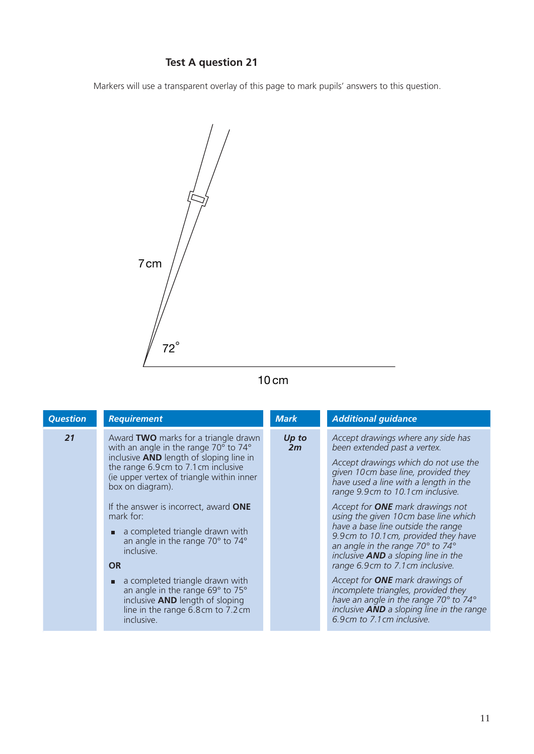## **Test A question 21**

Markers will use a transparent overlay of this page to mark pupils' answers to this question.



## 10 cm

| <b>Question</b> | <b>Requirement</b>                                                                                                                                                                                                                                                                                                                                                                                                                                                                                                                                                   | <b>Mark</b> | <b>Additional guidance</b>                                                                                                                                                                                                                                                                                                                                                                                                                                                                                                                                                                                                                                                                                                     |
|-----------------|----------------------------------------------------------------------------------------------------------------------------------------------------------------------------------------------------------------------------------------------------------------------------------------------------------------------------------------------------------------------------------------------------------------------------------------------------------------------------------------------------------------------------------------------------------------------|-------------|--------------------------------------------------------------------------------------------------------------------------------------------------------------------------------------------------------------------------------------------------------------------------------------------------------------------------------------------------------------------------------------------------------------------------------------------------------------------------------------------------------------------------------------------------------------------------------------------------------------------------------------------------------------------------------------------------------------------------------|
| 21              | Award TWO marks for a triangle drawn<br>with an angle in the range 70° to 74°<br>inclusive <b>AND</b> length of sloping line in<br>the range 6.9cm to 7.1cm inclusive<br>(ie upper vertex of triangle within inner<br>box on diagram).<br>If the answer is incorrect, award ONE<br>mark for:<br>a completed triangle drawn with<br>п<br>an angle in the range 70° to 74°<br>inclusive.<br><b>OR</b><br>a completed triangle drawn with<br>П<br>an angle in the range 69° to 75°<br>inclusive AND length of sloping<br>line in the range 6.8cm to 7.2cm<br>inclusive. | Up to<br>2m | Accept drawings where any side has<br>been extended past a vertex.<br>Accept drawings which do not use the<br>given 10cm base line, provided they<br>have used a line with a length in the<br>range 9.9cm to 10.1cm inclusive.<br>Accept for <b>ONE</b> mark drawings not<br>using the given 10cm base line which<br>have a base line outside the range<br>9.9cm to 10.1cm, provided they have<br>an angle in the range 70° to 74°<br>inclusive <b>AND</b> a sloping line in the<br>range 6.9cm to 7.1cm inclusive.<br>Accept for <b>ONE</b> mark drawings of<br>incomplete triangles, provided they<br>have an angle in the range 70° to 74°<br>inclusive <b>AND</b> a sloping line in the range<br>6.9cm to 7.1cm inclusive. |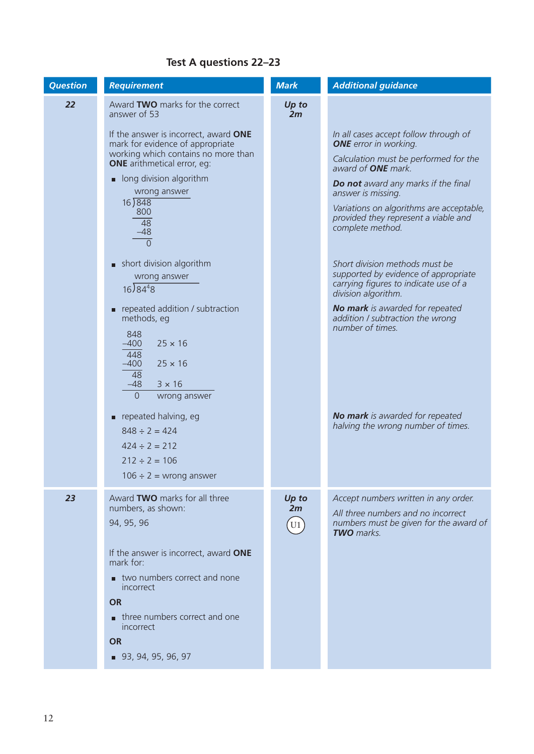## **Test A questions 22–23**

| <b>Question</b> | <b>Requirement</b>                                                                                                                                                                                                                                                                                                                                                                                                                                                                                                                        | <b>Mark</b>                   | <b>Additional guidance</b>                                                                                                                                                                                                                                                                                                                                                                                                                                                                                                                            |
|-----------------|-------------------------------------------------------------------------------------------------------------------------------------------------------------------------------------------------------------------------------------------------------------------------------------------------------------------------------------------------------------------------------------------------------------------------------------------------------------------------------------------------------------------------------------------|-------------------------------|-------------------------------------------------------------------------------------------------------------------------------------------------------------------------------------------------------------------------------------------------------------------------------------------------------------------------------------------------------------------------------------------------------------------------------------------------------------------------------------------------------------------------------------------------------|
| 22              | Award TWO marks for the correct<br>answer of 53                                                                                                                                                                                                                                                                                                                                                                                                                                                                                           | Up to<br>2m                   |                                                                                                                                                                                                                                                                                                                                                                                                                                                                                                                                                       |
|                 | If the answer is incorrect, award ONE<br>mark for evidence of appropriate<br>working which contains no more than<br><b>ONE</b> arithmetical error, eg:<br>long division algorithm<br>wrong answer<br>16)848<br>800<br>$\overline{48}$<br>$-48$<br>$\Omega$<br>short division algorithm<br>wrong answer<br>$16)84^{4}8$<br>repeated addition / subtraction<br>$\blacksquare$<br>methods, eg<br>848<br>$-400$<br>$25 \times 16$<br>448<br>$-400$<br>$25 \times 16$<br>$\overline{48}$<br>$-48$<br>$3 \times 16$<br>$\Omega$<br>wrong answer |                               | In all cases accept follow through of<br><b>ONE</b> error in working.<br>Calculation must be performed for the<br>award of <b>ONE</b> mark.<br>Do not award any marks if the final<br>answer is missing.<br>Variations on algorithms are acceptable,<br>provided they represent a viable and<br>complete method.<br>Short division methods must be<br>supported by evidence of appropriate<br>carrying figures to indicate use of a<br>division algorithm.<br>No mark is awarded for repeated<br>addition / subtraction the wrong<br>number of times. |
|                 | repeated halving, eg<br>$848 \div 2 = 424$<br>$424 \div 2 = 212$<br>$212 \div 2 = 106$<br>$106 \div 2$ = wrong answer                                                                                                                                                                                                                                                                                                                                                                                                                     |                               | <b>No mark</b> is awarded for repeated<br>halving the wrong number of times.                                                                                                                                                                                                                                                                                                                                                                                                                                                                          |
| 23              | Award TWO marks for all three<br>numbers, as shown:<br>94, 95, 96<br>If the answer is incorrect, award ONE<br>mark for:<br>two numbers correct and none<br>incorrect<br><b>OR</b><br>three numbers correct and one<br>incorrect<br><b>OR</b><br>■ 93, 94, 95, 96, 97                                                                                                                                                                                                                                                                      | Up to<br>2m<br>U <sub>1</sub> | Accept numbers written in any order.<br>All three numbers and no incorrect<br>numbers must be given for the award of<br><b>TWO</b> marks.                                                                                                                                                                                                                                                                                                                                                                                                             |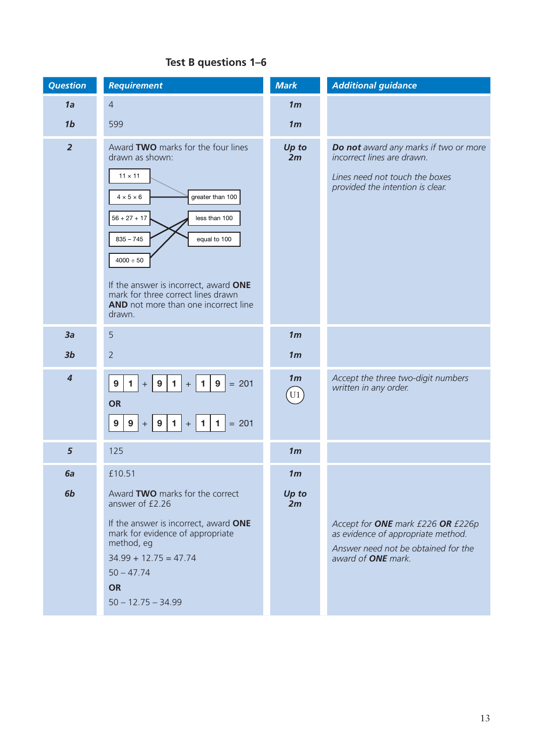| <b>Question</b>         | <b>Requirement</b>                                                                                                                                                                                                                                                                                                                           | <b>Mark</b>                      | <b>Additional guidance</b>                                                                                                                  |
|-------------------------|----------------------------------------------------------------------------------------------------------------------------------------------------------------------------------------------------------------------------------------------------------------------------------------------------------------------------------------------|----------------------------------|---------------------------------------------------------------------------------------------------------------------------------------------|
| 1a                      | $\overline{4}$                                                                                                                                                                                                                                                                                                                               | 1 <sub>m</sub>                   |                                                                                                                                             |
| 1 <sub>b</sub>          | 599                                                                                                                                                                                                                                                                                                                                          | 1 <sub>m</sub>                   |                                                                                                                                             |
| $\overline{2}$          | Award TWO marks for the four lines<br>drawn as shown:<br>$11 \times 11$<br>$4\times5\times6$<br>greater than 100<br>$56 + 27 + 17$<br>less than 100<br>$835 - 745$<br>equal to 100<br>$4000 \div 50$<br>If the answer is incorrect, award ONE<br>mark for three correct lines drawn<br><b>AND</b> not more than one incorrect line<br>drawn. | Up to<br>2m                      | Do not award any marks if two or more<br>incorrect lines are drawn.<br>Lines need not touch the boxes<br>provided the intention is clear.   |
| 3a                      | 5                                                                                                                                                                                                                                                                                                                                            | 1 <sub>m</sub>                   |                                                                                                                                             |
| 3 <sub>b</sub>          | $\overline{2}$                                                                                                                                                                                                                                                                                                                               | 1 <sub>m</sub>                   |                                                                                                                                             |
| $\overline{\mathbf{4}}$ | $= 201$<br>$\mathbf{1}$<br>9<br>$\mathbf{1}$<br>$\blacktriangleleft$<br>9<br>9<br>$\, +$<br>$\, +$<br><b>OR</b><br>$+$ 9 1 + 1 1<br>9 <sup>1</sup><br>$= 201$<br>9                                                                                                                                                                           | 1 <sub>m</sub><br>U <sub>1</sub> | Accept the three two-digit numbers<br>written in any order.                                                                                 |
| 5                       | 125                                                                                                                                                                                                                                                                                                                                          | 1 <sub>m</sub>                   |                                                                                                                                             |
| 6a                      | £10.51                                                                                                                                                                                                                                                                                                                                       | 1 <sub>m</sub>                   |                                                                                                                                             |
| 6b                      | Award TWO marks for the correct<br>answer of £2.26<br>If the answer is incorrect, award ONE<br>mark for evidence of appropriate<br>method, eg<br>$34.99 + 12.75 = 47.74$<br>$50 - 47.74$<br><b>OR</b><br>$50 - 12.75 - 34.99$                                                                                                                | Up to<br>2m                      | Accept for ONE mark £226 OR £226p<br>as evidence of appropriate method.<br>Answer need not be obtained for the<br>award of <b>ONE</b> mark. |

#### **Test B questions 1–6**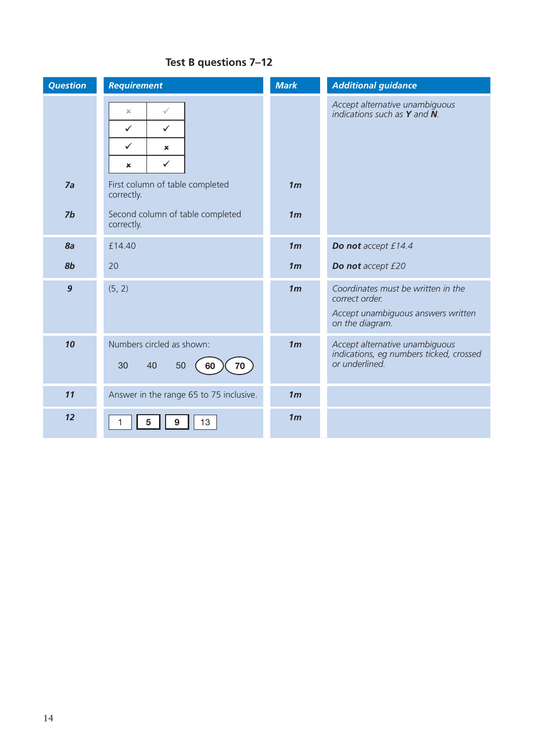| <b>Question</b>  | <b>Requirement</b>                                                                                                         | <b>Mark</b>    | <b>Additional guidance</b>                                                                                    |
|------------------|----------------------------------------------------------------------------------------------------------------------------|----------------|---------------------------------------------------------------------------------------------------------------|
|                  | ✓<br>$\boldsymbol{\chi}$<br>$\checkmark$<br>$\checkmark$<br>$\checkmark$<br>×<br>$\checkmark$<br>$\boldsymbol{\mathsf{x}}$ |                | Accept alternative unambiguous<br>indications such as $Y$ and $\tilde{N}$ .                                   |
| 7a               | First column of table completed<br>correctly.                                                                              | 1 <sub>m</sub> |                                                                                                               |
| 7b               | Second column of table completed<br>correctly.                                                                             | 1 <sub>m</sub> |                                                                                                               |
| 8a               | £14.40                                                                                                                     | 1 <sub>m</sub> | Do not accept £14.4                                                                                           |
| 8 <sub>b</sub>   | 20                                                                                                                         | 1 <sub>m</sub> | Do not accept £20                                                                                             |
| $\boldsymbol{9}$ | (5, 2)                                                                                                                     | 1 <sub>m</sub> | Coordinates must be written in the<br>correct order.<br>Accept unambiguous answers written<br>on the diagram. |
| 10               | Numbers circled as shown:<br>70<br>30<br>40<br>50<br>60                                                                    | 1 <sub>m</sub> | Accept alternative unambiguous<br>indications, eg numbers ticked, crossed<br>or underlined.                   |
| 11               | Answer in the range 65 to 75 inclusive.                                                                                    | 1 <sub>m</sub> |                                                                                                               |
| 12               | 13<br>9<br>5                                                                                                               | 1 <sub>m</sub> |                                                                                                               |

#### **Test B questions 7–12**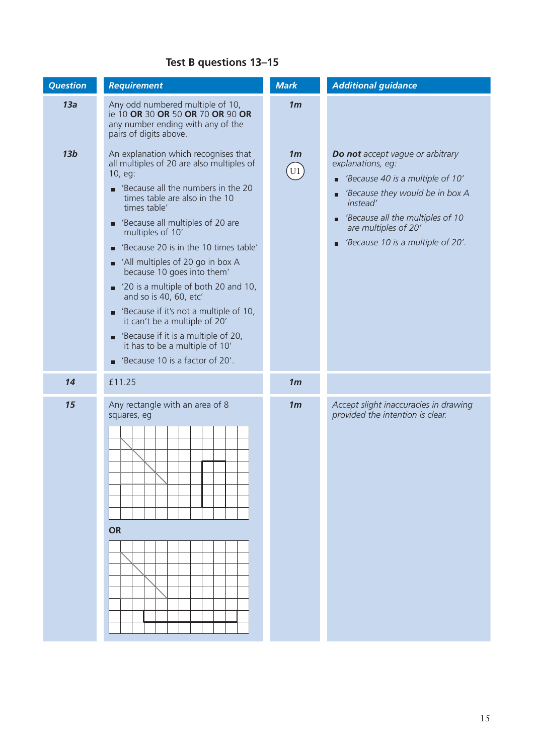#### **Test B questions 13–15**

| <b>Question</b> | <b>Requirement</b>                                                                                                                                                                                                                                                                                                                                                                                                                                                                                                                                                                                                                                                                     | <b>Mark</b>          | <b>Additional guidance</b>                                                                                                                                                                                                                                            |
|-----------------|----------------------------------------------------------------------------------------------------------------------------------------------------------------------------------------------------------------------------------------------------------------------------------------------------------------------------------------------------------------------------------------------------------------------------------------------------------------------------------------------------------------------------------------------------------------------------------------------------------------------------------------------------------------------------------------|----------------------|-----------------------------------------------------------------------------------------------------------------------------------------------------------------------------------------------------------------------------------------------------------------------|
| 13a             | Any odd numbered multiple of 10,<br>ie 10 OR 30 OR 50 OR 70 OR 90 OR<br>any number ending with any of the<br>pairs of digits above.                                                                                                                                                                                                                                                                                                                                                                                                                                                                                                                                                    | 1 <sub>m</sub>       |                                                                                                                                                                                                                                                                       |
| 13 <sub>b</sub> | An explanation which recognises that<br>all multiples of 20 are also multiples of<br>10, eg:<br>'Because all the numbers in the 20<br>п<br>times table are also in the 10<br>times table'<br>'Because all multiples of 20 are<br>о<br>multiples of 10'<br>'Because 20 is in the 10 times table'<br>П<br>All multiples of 20 go in box A<br>because 10 goes into them'<br>$\blacksquare$ '20 is a multiple of both 20 and 10,<br>and so is 40, 60, etc'<br>'Because if it's not a multiple of 10,<br>$\blacksquare$<br>it can't be a multiple of 20'<br>'Because if it is a multiple of 20,<br>$\blacksquare$<br>it has to be a multiple of 10'<br>'Because 10 is a factor of 20'.<br>П | 1 <sub>m</sub><br>U1 | <b>Do not</b> accept vague or arbitrary<br>explanations, eg:<br>■ 'Because 40 is a multiple of 10'<br>'Because they would be in box A<br>$\blacksquare$<br>instead'<br>Because all the multiples of 10<br>are multiples of 20'<br>■ 'Because 10 is a multiple of 20'. |
| 14              | £11.25                                                                                                                                                                                                                                                                                                                                                                                                                                                                                                                                                                                                                                                                                 | 1 <sub>m</sub>       |                                                                                                                                                                                                                                                                       |
| 15              | Any rectangle with an area of 8<br>squares, eg<br><b>OR</b>                                                                                                                                                                                                                                                                                                                                                                                                                                                                                                                                                                                                                            | 1 <sub>m</sub>       | Accept slight inaccuracies in drawing<br>provided the intention is clear.                                                                                                                                                                                             |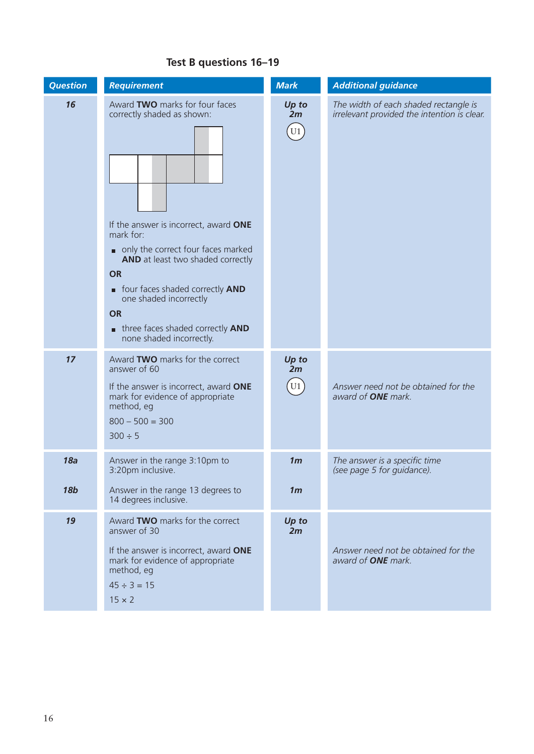#### *Question Requirement* Requirement Mark Additional guidance 16 Award **TWO** marks for four faces correctly shaded as shown: If the answer is incorrect, award **ONE** mark for: only the correct four faces marked **AND** at least two shaded correctly **OR** four faces shaded correctly **AND** one shaded incorrectly **OR three faces shaded correctly AND**  none shaded incorrectly. *Up to 2m*  $\overline{U1}$ *The width of each shaded rectangle is irrelevant provided the intention is clear. 17* Award **TWO** marks for the correct answer of 60 If the answer is incorrect, award **ONE** mark for evidence of appropriate method, eg  $800 - 500 = 300$  $300 \div 5$ *Up to 2m* U1 *Answer need not be obtained for the award of ONE mark. 18a 18b* Answer in the range 3:10pm to 3:20pm inclusive. Answer in the range 13 degrees to 14 degrees inclusive. *1m 1m* The answer is a specific time *(see page 5 for guidance).* 19 **Award TWO** marks for the correct answer of 30 If the answer is incorrect, award **ONE** mark for evidence of appropriate method, eg  $45 \div 3 = 15$  $15 \times 2$ *Up to 2m Answer need not be obtained for the award of ONE mark.*

## **Test B questions 16–19**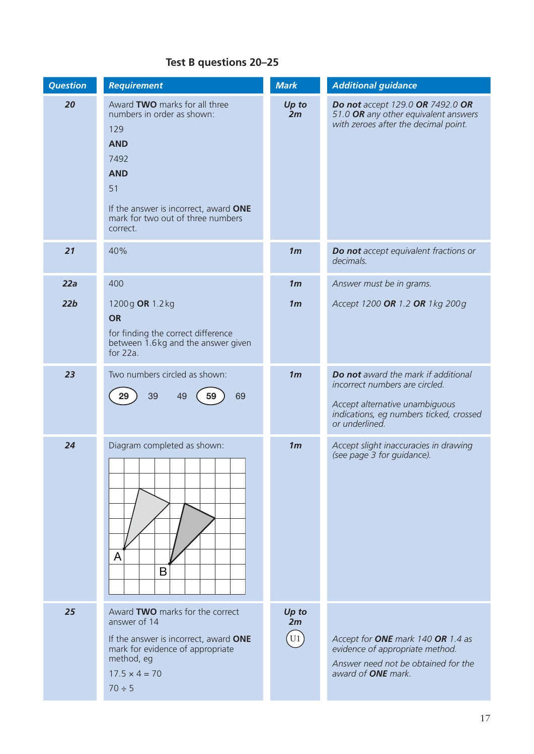#### **Test B questions 20–25**

| <b>Question</b> | <b>Requirement</b>                                                                                                                                                                                     | <b>Mark</b>                               | <b>Additional guidance</b>                                                                                                                                           |
|-----------------|--------------------------------------------------------------------------------------------------------------------------------------------------------------------------------------------------------|-------------------------------------------|----------------------------------------------------------------------------------------------------------------------------------------------------------------------|
| 20              | Award TWO marks for all three<br>numbers in order as shown:<br>129<br><b>AND</b><br>7492<br><b>AND</b><br>51<br>If the answer is incorrect, award ONE<br>mark for two out of three numbers<br>correct. | Up to<br>2m                               | Do not accept 129.0 OR 7492.0 OR<br>51.0 OR any other equivalent answers<br>with zeroes after the decimal point.                                                     |
| 21              | 40%                                                                                                                                                                                                    | 1 <sub>m</sub>                            | Do not accept equivalent fractions or<br>decimals.                                                                                                                   |
| 22a             | 400                                                                                                                                                                                                    | 1 <sub>m</sub>                            | Answer must be in grams.                                                                                                                                             |
| 22b             | 1200g OR 1.2 kg<br><b>OR</b><br>for finding the correct difference<br>between 1.6kg and the answer given<br>for $22a$ .                                                                                | 1 <sub>m</sub>                            | Accept 1200 OR 1.2 OR 1 kg 200g                                                                                                                                      |
| 23              | Two numbers circled as shown:<br>39<br>69<br>49<br>59<br>29                                                                                                                                            | 1 <sub>m</sub>                            | Do not award the mark if additional<br>incorrect numbers are circled.<br>Accept alternative unambiguous<br>indications, eg numbers ticked, crossed<br>or underlined. |
| 24              | Diagram completed as shown:<br>A<br>B                                                                                                                                                                  | 1 <sub>m</sub>                            | Accept slight inaccuracies in drawing<br>(see page 3 for guidance).                                                                                                  |
| 25              | Award TWO marks for the correct<br>answer of 14<br>If the answer is incorrect, award ONE<br>mark for evidence of appropriate<br>method, eg<br>$17.5 \times 4 = 70$<br>$70 \div 5$                      | Up to<br>2m<br>$\left[\mathrm{U1}\right]$ | Accept for ONE mark 140 OR 1.4 as<br>evidence of appropriate method.<br>Answer need not be obtained for the<br>award of <b>ONE</b> mark.                             |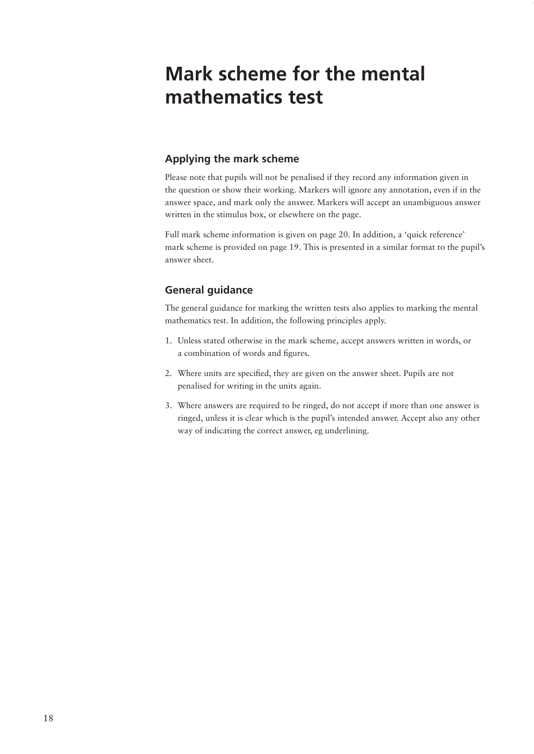## **Mark scheme for the mental mathematics test**

#### **Applying the mark scheme**

Please note that pupils will not be penalised if they record any information given in the question or show their working. Markers will ignore any annotation, even if in the answer space, and mark only the answer. Markers will accept an unambiguous answer written in the stimulus box, or elsewhere on the page.

Full mark scheme information is given on page 20. In addition, a 'quick reference' mark scheme is provided on page 19. This is presented in a similar format to the pupil's answer sheet.

#### **General guidance**

The general guidance for marking the written tests also applies to marking the mental mathematics test. In addition, the following principles apply.

- 1. Unless stated otherwise in the mark scheme, accept answers written in words, or a combination of words and figures.
- 2. Where units are specified, they are given on the answer sheet. Pupils are not penalised for writing in the units again.
- 3. Where answers are required to be ringed, do not accept if more than one answer is ringed, unless it is clear which is the pupil's intended answer. Accept also any other way of indicating the correct answer, eg underlining.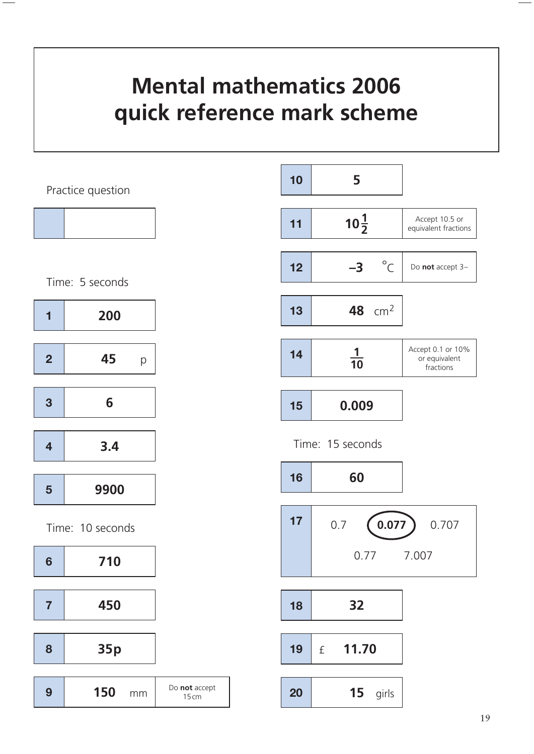# **Mental mathematics 2006 quick reference mark scheme**

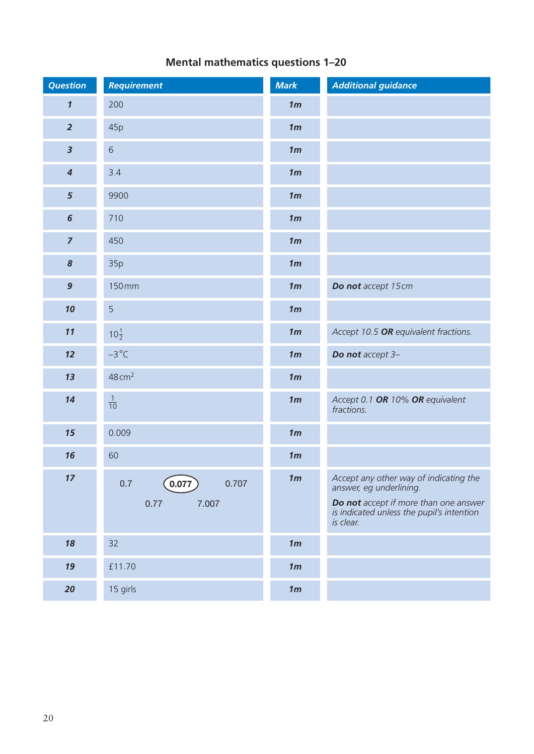| <b>Question</b>            | <b>Requirement</b>                                 | <b>Mark</b>    | <b>Additional guidance</b>                                                                                                                                           |
|----------------------------|----------------------------------------------------|----------------|----------------------------------------------------------------------------------------------------------------------------------------------------------------------|
| $\boldsymbol{\mathcal{I}}$ | 200                                                | 1 <sub>m</sub> |                                                                                                                                                                      |
| $\overline{2}$             | 45p                                                | 1 <sub>m</sub> |                                                                                                                                                                      |
| $\overline{\mathbf{3}}$    | 6                                                  | 1 <sub>m</sub> |                                                                                                                                                                      |
| $\overline{\mathbf{4}}$    | 3.4                                                | 1 <sub>m</sub> |                                                                                                                                                                      |
| 5                          | 9900                                               | 1 <sub>m</sub> |                                                                                                                                                                      |
| $6\phantom{1}6$            | 710                                                | 1 <sub>m</sub> |                                                                                                                                                                      |
| $\overline{7}$             | 450                                                | 1 <sub>m</sub> |                                                                                                                                                                      |
| 8                          | 35p                                                | 1 <sub>m</sub> |                                                                                                                                                                      |
| $\mathbf{9}$               | 150mm                                              | 1 <sub>m</sub> | Do not accept 15cm                                                                                                                                                   |
| 10                         | 5                                                  | 1 <sub>m</sub> |                                                                                                                                                                      |
| 11                         | $10\frac{1}{2}$                                    | 1 <sub>m</sub> | Accept 10.5 OR equivalent fractions.                                                                                                                                 |
| 12                         | $-3^{\circ}C$                                      | 1 <sub>m</sub> | Do not accept 3-                                                                                                                                                     |
| 13                         | $48 \text{ cm}^2$                                  | 1 <sub>m</sub> |                                                                                                                                                                      |
| 14                         | $\frac{1}{10}$                                     | 1 <sub>m</sub> | Accept 0.1 OR 10% OR equivalent<br>fractions.                                                                                                                        |
| 15                         | 0.009                                              | 1 <sub>m</sub> |                                                                                                                                                                      |
| 16                         | 60                                                 | 1 <sub>m</sub> |                                                                                                                                                                      |
| 17                         | $\big(0.077\big)$<br>0.7<br>0.707<br>7.007<br>0.77 | 1m             | Accept any other way of indicating the<br>answer, eg underlining.<br>Do not accept if more than one answer<br>is indicated unless the pupil's intention<br>is clear. |
| 18                         | 32                                                 | 1 <sub>m</sub> |                                                                                                                                                                      |
| 19                         | £11.70                                             | 1m             |                                                                                                                                                                      |
| $20\,$                     | 15 girls                                           | 1 <sub>m</sub> |                                                                                                                                                                      |

## **Mental mathematics questions 1–20**